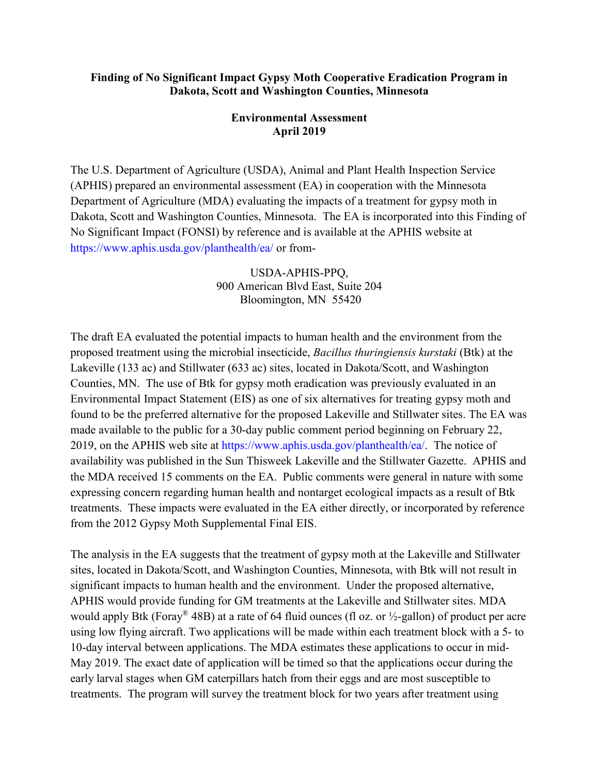## **Finding of No Significant Impact Gypsy Moth Cooperative Eradication Program in Dakota, Scott and Washington Counties, Minnesota**

## **Environmental Assessment April 2019**

The U.S. Department of Agriculture (USDA), Animal and Plant Health Inspection Service (APHIS) prepared an environmental assessment (EA) in cooperation with the Minnesota Department of Agriculture (MDA) evaluating the impacts of a treatment for gypsy moth in Dakota, Scott and Washington Counties, Minnesota. The EA is incorporated into this Finding of No Significant Impact (FONSI) by reference and is available at the APHIS website at https://www.aphis.usda.gov/planthealth/ea/ or from-

> USDA-APHIS-PPQ, 900 American Blvd East, Suite 204 Bloomington, MN 55420

The draft EA evaluated the potential impacts to human health and the environment from the proposed treatment using the microbial insecticide, *Bacillus thuringiensis kurstaki* (Btk) at the Lakeville (133 ac) and Stillwater (633 ac) sites, located in Dakota/Scott, and Washington Counties, MN. The use of Btk for gypsy moth eradication was previously evaluated in an Environmental Impact Statement (EIS) as one of six alternatives for treating gypsy moth and found to be the preferred alternative for the proposed Lakeville and Stillwater sites. The EA was made available to the public for a 30-day public comment period beginning on February 22, 2019, on the APHIS web site at https://www.aphis.usda.gov/planthealth/ea/. The notice of availability was published in the Sun Thisweek Lakeville and the Stillwater Gazette. APHIS and the MDA received 15 comments on the EA. Public comments were general in nature with some expressing concern regarding human health and nontarget ecological impacts as a result of Btk treatments. These impacts were evaluated in the EA either directly, or incorporated by reference from the 2012 Gypsy Moth Supplemental Final EIS.

The analysis in the EA suggests that the treatment of gypsy moth at the Lakeville and Stillwater sites, located in Dakota/Scott, and Washington Counties, Minnesota, with Btk will not result in significant impacts to human health and the environment. Under the proposed alternative, APHIS would provide funding for GM treatments at the Lakeville and Stillwater sites. MDA would apply Btk (Foray<sup>®</sup> 48B) at a rate of 64 fluid ounces (fl oz. or  $\frac{1}{2}$ -gallon) of product per acre using low flying aircraft. Two applications will be made within each treatment block with a 5- to 10-day interval between applications. The MDA estimates these applications to occur in mid-May 2019. The exact date of application will be timed so that the applications occur during the early larval stages when GM caterpillars hatch from their eggs and are most susceptible to treatments. The program will survey the treatment block for two years after treatment using